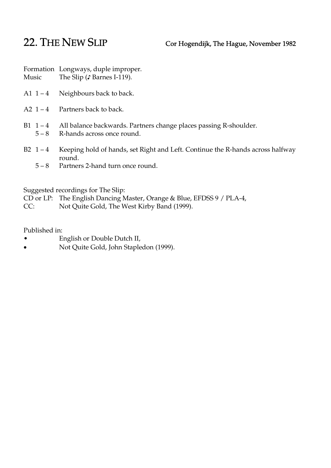## 22. THE NEW SLIP Cor Hogendijk, The Hague, November 1982

Formation Longways, duple improper. Music The Slip (♪ Barnes I-119).

- A1  $1 4$  Neighbours back to back.
- A2  $1 4$  Partners back to back.
- B1 1 4 All balance backwards. Partners change places passing R-shoulder.
	- 5 8 R-hands across once round.
- B2 1 4 Keeping hold of hands, set Right and Left. Continue the R-hands across halfway round.
	- 5 8 Partners 2-hand turn once round.

Suggested recordings for The Slip:

- CD or LP: The English Dancing Master, Orange & Blue, EFDSS 9 / PLA-4,
- CC: Not Quite Gold, The West Kirby Band (1999).

Published in:

- English or Double Dutch II,
- Not Quite Gold, John Stapledon (1999).